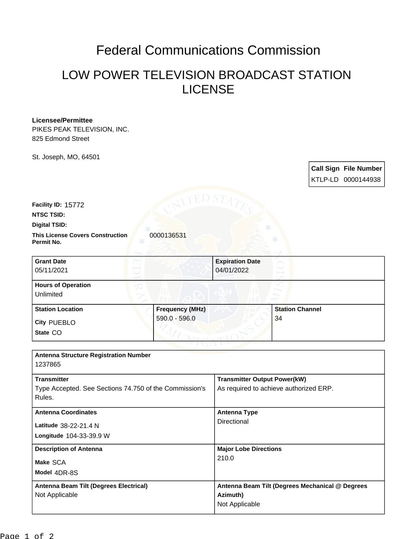## Federal Communications Commission

## LOW POWER TELEVISION BROADCAST STATION LICENSE

## **Licensee/Permittee**

PIKES PEAK TELEVISION, INC. 825 Edmond Street

St. Joseph, MO, 64501

|                                                                  |                        |                                                 |                        | <b>Call Sign File Number</b><br>KTLP-LD 0000144938 |
|------------------------------------------------------------------|------------------------|-------------------------------------------------|------------------------|----------------------------------------------------|
| Facility ID: 15772<br><b>NTSC TSID:</b>                          | <b>SITED STA</b>       |                                                 |                        |                                                    |
| Digital TSID:                                                    |                        |                                                 |                        |                                                    |
| <b>This License Covers Construction</b><br>Permit No.            | 0000136531             |                                                 |                        |                                                    |
| <b>Grant Date</b>                                                |                        | <b>Expiration Date</b>                          |                        |                                                    |
| 05/11/2021                                                       |                        | 04/01/2022                                      |                        |                                                    |
| <b>Hours of Operation</b><br>Unlimited                           |                        |                                                 |                        |                                                    |
| <b>Station Location</b>                                          | <b>Frequency (MHz)</b> |                                                 | <b>Station Channel</b> |                                                    |
| <b>City PUEBLO</b>                                               | 590.0 - 596.0          |                                                 | 34                     |                                                    |
| State CO                                                         |                        |                                                 |                        |                                                    |
|                                                                  |                        |                                                 |                        |                                                    |
| <b>Antenna Structure Registration Number</b><br>1237865          |                        |                                                 |                        |                                                    |
| <b>Transmitter</b>                                               |                        | <b>Transmitter Output Power(kW)</b>             |                        |                                                    |
| Type Accepted. See Sections 74.750 of the Commission's<br>Rules. |                        | As required to achieve authorized ERP.          |                        |                                                    |
| <b>Antenna Coordinates</b>                                       |                        | <b>Antenna Type</b>                             |                        |                                                    |
| Latitude 38-22-21.4 N                                            |                        | Directional                                     |                        |                                                    |
| Longitude 104-33-39.9 W                                          |                        |                                                 |                        |                                                    |
| <b>Description of Antenna</b>                                    |                        | <b>Major Lobe Directions</b>                    |                        |                                                    |
| Make SCA                                                         |                        | 210.0                                           |                        |                                                    |
| Model 4DR-8S                                                     |                        |                                                 |                        |                                                    |
| Antenna Beam Tilt (Degrees Electrical)                           |                        | Antenna Beam Tilt (Degrees Mechanical @ Degrees |                        |                                                    |
| Not Applicable                                                   |                        | Azimuth)<br>Not Applicable                      |                        |                                                    |